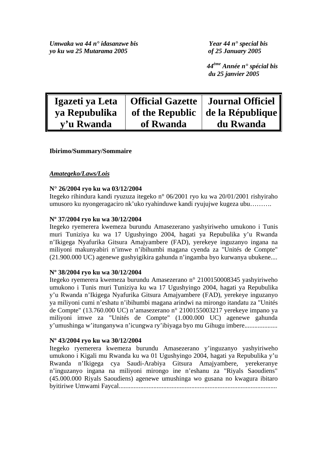*Umwaka wa 44 n° idasanzwe bis Year 44 n° special bis yo ku wa 25 Mutarama 2005 of 25 January 2005* 

 *44ème Année n° spécial bis du 25 janvier 2005* 

| Igazeti ya Leta |           | <b>Official Gazette   Journal Officiel</b> |
|-----------------|-----------|--------------------------------------------|
| ya Repubulika   |           | of the Republic $\vert$ de la République   |
| v'u Rwanda      | of Rwanda | du Rwanda                                  |

# **Ibirimo/Summary/Sommaire**

# *Amategeko/Laws/Lois*

# **N° 26/2004 ryo ku wa 03/12/2004**

Itegeko rihindura kandi ryuzuza itegeko n° 06/2001 ryo ku wa 20/01/2001 rishyiraho umusoro ku nyongeragaciro nk'uko ryahinduwe kandi ryujujwe kugeza ubu……….

# **Nº 37/2004 ryo ku wa 30/12/2004**

Itegeko ryemerera kwemeza burundu Amasezerano yashyiriweho umukono i Tunis muri Tuniziya ku wa 17 Ugushyingo 2004, hagati ya Repubulika y'u Rwanda n'Ikigega Nyafurika Gitsura Amajyambere (FAD), yerekeye inguzanyo ingana na miliyoni makunyabiri n'imwe n'ibihumbi magana cyenda za "Unités de Compte" (21.900.000 UC) agenewe gushyigikira gahunda n'ingamba byo kurwanya ubukene....

# **Nº 38/2004 ryo ku wa 30/12/2004**

Itegeko ryemerera kwemeza burundu Amasezerano n° 2100150008345 yashyiriweho umukono i Tunis muri Tuniziya ku wa 17 Ugushyingo 2004, hagati ya Repubulika y'u Rwanda n'Ikigega Nyafurika Gitsura Amajyambere (FAD), yerekeye inguzanyo ya miliyoni cumi n'eshatu n'ibihumbi magana arindwi na mirongo itandatu za "Unités de Compte" (13.760.000 UC) n'amasezerano n° 2100155003217 yerekeye impano ya miliyoni imwe za "Unités de Compte" (1.000.000 UC) agenewe gahunda y'umushinga w'itunganywa n'icungwa ry'ibiyaga byo mu Gihugu imbere....................

# **Nº 43/2004 ryo ku wa 30/12/2004**

Itegeko ryemerera kwemeza burundu Amasezerano y'inguzanyo yashyiriweho umukono i Kigali mu Rwanda ku wa 01 Ugushyingo 2004, hagati ya Repubulika y'u Rwanda n'Ikigega cya Saudi-Arabiya Gitsura Amajyambere, yerekeranye n'inguzanyo ingana na miliyoni mirongo ine n'eshanu za "Riyals Saoudiens" (45.000.000 Riyals Saoudiens) agenewe umushinga wo gusana no kwagura ibitaro byitiriwe Umwami Faycal................................................................................................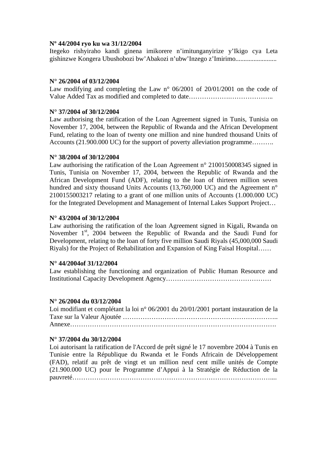# **Nº 44/2004 ryo ku wa 31/12/2004**

Itegeko rishyiraho kandi ginena imikorere n'imitunganyirize y'Ikigo cya Leta gishinzwe Kongera Ubushobozi bw'Abakozi n'ubw'Inzego z'Imirimo.........................

# **N° 26/2004 of 03/12/2004**

Law modifying and completing the Law n° 06/2001 of 20/01/2001 on the code of Value Added Tax as modified and completed to date……………….………………..

# **N° 37/2004 of 30/12/2004**

Law authorising the ratification of the Loan Agreement signed in Tunis, Tunisia on November 17, 2004, between the Republic of Rwanda and the African Development Fund, relating to the loan of twenty one million and nine hundred thousand Units of Accounts (21.900.000 UC) for the support of poverty alleviation programme……….

# **N° 38/2004 of 30/12/2004**

Law authorising the ratification of the Loan Agreement n° 2100150008345 signed in Tunis, Tunisia on November 17, 2004, between the Republic of Rwanda and the African Development Fund (ADF), relating to the loan of thirteen million seven hundred and sixty thousand Units Accounts (13,760,000 UC) and the Agreement n<sup>o</sup> 2100155003217 relating to a grant of one million units of Accounts (1.000.000 UC) for the Integrated Development and Management of Internal Lakes Support Project…

# **N° 43/2004 of 30/12/2004**

Law authorising the ratification of the loan Agreement signed in Kigali, Rwanda on November 1<sup>st</sup>, 2004 between the Republic of Rwanda and the Saudi Fund for Development, relating to the loan of forty five million Saudi Riyals (45,000,000 Saudi Riyals) for the Project of Rehabilitation and Expansion of King Faisal Hospital……

# **N° 44/2004of 31/12/2004**

Law establishing the functioning and organization of Public Human Resource and Institutional Capacity Development Agency…………………………………………

# **N° 26/2004 du 03/12/2004**

Loi modifiant et complétant la loi n° 06/2001 du 20/01/2001 portant instauration de la Taxe sur la Valeur Ajoutée …………………………………………………………….. Annexe………………………………………………………………………………….

# **N° 37/2004 du 30/12/2004**

Loi autorisant la ratification de l'Accord de prêt signé le 17 novembre 2004 à Tunis en Tunisie entre la République du Rwanda et le Fonds Africain de Développement (FAD), relatif au prêt de vingt et un million neuf cent mille unités de Compte (21.900.000 UC) pour le Programme d'Appui à la Stratégie de Réduction de la pauvreté………………………………………………………………………………....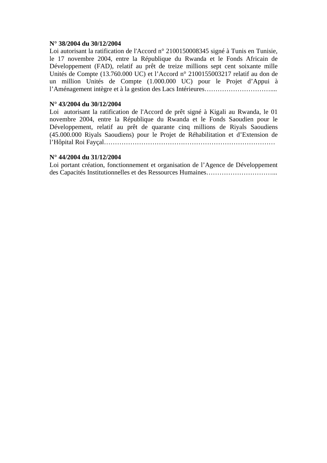# **N° 38/2004 du 30/12/2004**

Loi autorisant la ratification de l'Accord n° 2100150008345 signé à Tunis en Tunisie, le 17 novembre 2004, entre la République du Rwanda et le Fonds Africain de Développement (FAD), relatif au prêt de treize millions sept cent soixante mille Unités de Compte (13.760.000 UC) et l'Accord n° 2100155003217 relatif au don de un million Unités de Compte (1.000.000 UC) pour le Projet d'Appui à l'Aménagement intègre et à la gestion des Lacs Intérieures…………………………....

# **N° 43/2004 du 30/12/2004**

Loi autorisant la ratification de l'Accord de prêt signé à Kigali au Rwanda, le 01 novembre 2004, entre la République du Rwanda et le Fonds Saoudien pour le Développement, relatif au prêt de quarante cinq millions de Riyals Saoudiens (45.000.000 Riyals Saoudiens) pour le Projet de Réhabilitation et d'Extension de l'Hôpital Roi Fayçal……………………………………………………………………

# **N° 44/2004 du 31/12/2004**

Loi portant création, fonctionnement et organisation de l'Agence de Développement des Capacités Institutionnelles et des Ressources Humaines…………………………...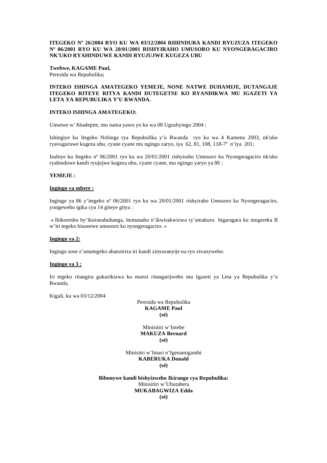### **ITEGEKO Nº 26/2004 RYO KU WA 03/12/2004 RIHINDURA KANDI RYUZUZA ITEGEKO Nº 06/2001 RYO KU WA 20/01/2001 RISHYIRAHO UMUSORO KU NYONGERAGACIRO NK'UKO RYAHINDUWE KANDI RYUJUJWE KUGEZA UBU**

# **Twebwe, KAGAME Paul,**

Perezida wa Repubulika;

# **INTEKO ISHINGA AMATEGEKO YEMEJE, NONE NATWE DUHAMIJE, DUTANGAJE ITEGEKO RITEYE RITYA KANDI DUTEGETSE KO RYANDIKWA MU IGAZETI YA LETA YA REPUBULIKA Y'U RWANDA.**

## **INTEKO ISHINGA AMATEGEKO:**

Umutwe w'Abadepite, mu nama yawo yo ku wa 08 Ugushyingo 2004 ;

Ishingiye ku Itegeko Nshinga rya Repubulika y'u Rwanda ryo ku wa 4 Kamena 2003, nk'uko ryavuguruwe kugeza ubu, cyane cyane mu ngingo zaryo, iya 62, 81, 108, 118-7º n'iya 201;

Isubiye ku Itegeko nº 06/2001 ryo ku wa 20/01/2001 rishyiraho Umusoro ku Nyongeragaciro nk'uko ryahinduwe kandi ryujujwe kugeza ubu, cyane cyane, mu ngingo yaryo ya 86 ;

### **YEMEJE :**

### **Ingingo ya mbere :**

Ingingo ya 86 y'itegeko nº 06/2001 ryo ku wa 20/01/2001 rishyiraho Umusoro ku Nyongeragaciro, yongeweho igika cya 14 giteye gitya :

*«* Ibikoresho by'ikoranabuhanga, itumanaho n'ikwirakwizwa ry'amakuru bigaragara ku mugereka B w'iri tegeko bisonewe umusoro ku nyongeragaciro. »

### **Ingingo ya 2:**

Ingingo zose z'amategeko abanziriza iri kandi zinyuranyije na ryo zivanyweho.

# **Ingingo ya 3 :**

Iri tegeko ritangira gukurikizwa ku munsi ritangarijweho mu Igazeti ya Leta ya Repubulika y'u Rwanda.

Kigali, ku wa 03/12/2004

Perezida wa Repubulika **KAGAME Paul (sé)** 

Minisitiri w'Intebe **MAKUZA Bernard (sé)** 

Minisitri w'Imari n'Igenamigambi **KABERUKA Donald (sé)** 

**Bibonywe kandi bishyizweho Ikirango cya Repubulika:**  Minisitiri w'Ubutabera **MUKABAGWIZA Edda (sé)**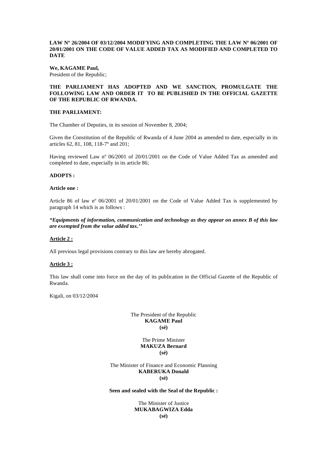## **LAW Nº 26/2004 OF 03/12/2004 MODIFYING AND COMPLETING THE LAW Nº 06/2001 OF 20/01/2001 ON THE CODE OF VALUE ADDED TAX AS MODIFIED AND COMPLETED TO DATE**

### **We, KAGAME Paul,**

President of the Republic;

# **THE PARLIAMENT HAS ADOPTED AND WE SANCTION, PROMULGATE THE FOLLOWING LAW AND ORDER IT TO BE PUBLISHED IN THE OFFICIAL GAZETTE OF THE REPUBLIC OF RWANDA.**

### **THE PARLIAMENT:**

The Chamber of Deputies, in its session of November 8, 2004;

Given the Constitution of the Republic of Rwanda of 4 June 2004 as amended to date, especially in its articles 62, 81, 108, 118-7º and 201;

Having reviewed Law nº 06/2001 of 20/01/2001 on the Code of Value Added Tax as amended and completed to date, especially in its article 86;

### **ADOPTS :**

#### **Article one :**

Article 86 of law nº 06/2001 of 20/01/2001 on the Code of Value Added Tax is supplemented by paragraph 14 which is as follows :

*"Equipments of information, communication and technology as they appear on annex B of this law are exempted from the value added tax.''* 

### **Article 2 :**

All previous legal provisions contrary to this law are hereby abrogated.

# **Article 3 :**

This law shall come into force on the day of its publication in the Official Gazette of the Republic of Rwanda.

Kigali, on 03/12/2004

### The President of the Republic **KAGAME Paul (sé)**

The Prime Minister **MAKUZA Bernard (sé)** 

The Minister of Finance and Economic Planning **KABERUKA Donald (sé)** 

### **Seen and sealed with the Seal of the Republic :**

## The Minister of Justice **MUKABAGWIZA Edda (sé)**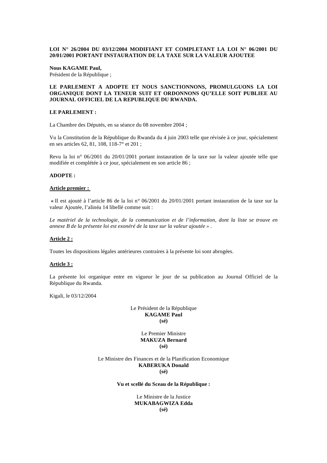### **LOI N° 26/2004 DU 03/12/2004 MODIFIANT ET COMPLETANT LA LOI N° 06/2001 DU 20/01/2001 PORTANT INSTAURATION DE LA TAXE SUR LA VALEUR AJOUTEE**

#### **Nous KAGAME Paul,**

Président de la République ;

# **LE PARLEMENT A ADOPTE ET NOUS SANCTIONNONS, PROMULGUONS LA LOI ORGANIQUE DONT LA TENEUR SUIT ET ORDONNONS QU'ELLE SOIT PUBLIEE AU JOURNAL OFFICIEL DE LA REPUBLIQUE DU RWANDA.**

### **LE PARLEMENT :**

La Chambre des Députés, en sa séance du 08 novembre 2004 ;

Vu la Constitution de la République du Rwanda du 4 juin 2003 telle que révisée à ce jour, spécialement en ses articles 62, 81, 108, 118-7° et 201 ;

Revu la loi n° 06/2001 du 20/01/2001 portant instauration de la taxe sur la valeur ajoutée telle que modifiée et complétée à ce jour, spécialement en son article 86 ;

### **ADOPTE :**

#### **Article premier :**

 **«** Il est ajouté à l'article 86 de la loi n° 06/2001 du 20/01/2001 portant instauration de la taxe sur la valeur Ajoutée, l'alinéa 14 libellé comme suit :

*Le matériel de la technologie, de la communication et de l'information, dont la liste se trouve en annexe B de la présente loi est exonéré de la taxe sur la valeur ajoutée » .* 

### **Article 2 :**

Toutes les dispositions légales antérieures contraires à la présente loi sont abrogées.

# **Article 3 :**

La présente loi organique entre en vigueur le jour de sa publication au Journal Officiel de la République du Rwanda.

Kigali, le 03/12/2004

Le Président de la République **KAGAME Paul (sé)** 

> Le Premier Ministre **MAKUZA Bernard (sé)**

Le Ministre des Finances et de la Planification Economique **KABERUKA Donald (sé)** 

**Vu et scellé du Sceau de la République :** 

Le Ministre de la Justice **MUKABAGWIZA Edda (sé)**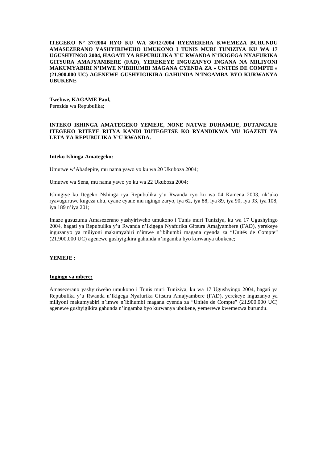**ITEGEKO N° 37/2004 RYO KU WA 30/12/2004 RYEMERERA KWEMEZA BURUNDU AMASEZERANO YASHYIRIWEHO UMUKONO I TUNIS MURI TUNIZIYA KU WA 17 UGUSHYINGO 2004, HAGATI YA REPUBULIKA Y'U RWANDA N'IKIGEGA NYAFURIKA GITSURA AMAJYAMBERE (FAD), YEREKEYE INGUZANYO INGANA NA MILIYONI MAKUMYABIRI N'IMWE N'IBIHUMBI MAGANA CYENDA ZA « UNITES DE COMPTE » (21.900.000 UC) AGENEWE GUSHYIGIKIRA GAHUNDA N'INGAMBA BYO KURWANYA UBUKENE** 

# **Twebwe, KAGAME Paul,**

Perezida wa Repubulika;

### **INTEKO ISHINGA AMATEGEKO YEMEJE, NONE NATWE DUHAMIJE, DUTANGAJE ITEGEKO RITEYE RITYA KANDI DUTEGETSE KO RYANDIKWA MU IGAZETI YA LETA YA REPUBULIKA Y'U RWANDA.**

### **Inteko Ishinga Amategeko:**

Umutwe w'Abadepite, mu nama yawo yo ku wa 20 Ukuboza 2004;

Umutwe wa Sena, mu nama yawo yo ku wa 22 Ukuboza 2004;

Ishingiye ku Itegeko Nshinga rya Repubulika y'u Rwanda ryo ku wa 04 Kamena 2003, nk'uko ryavuguruwe kugeza ubu, cyane cyane mu ngingo zaryo, iya 62, iya 88, iya 89, iya 90, iya 93, iya 108, iya 189 n'iya 201;

Imaze gusuzuma Amasezerano yashyiriweho umukono i Tunis muri Tuniziya, ku wa 17 Ugushyingo 2004, hagati ya Repubulika y'u Rwanda n'Ikigega Nyafurika Gitsura Amajyambere (FAD), yerekeye inguzanyo ya miliyoni makumyabiri n'imwe n'ibihumbi magana cyenda za "Unités de Compte" (21.900.000 UC) agenewe gushyigikira gahunda n'ingamba byo kurwanya ubukene;

# **YEMEJE :**

### **Ingingo ya mbere:**

Amasezerano yashyiriweho umukono i Tunis muri Tuniziya, ku wa 17 Ugushyingo 2004, hagati ya Repubulika y'u Rwanda n'Ikigega Nyafurika Gitsura Amajyambere (FAD), yerekeye inguzanyo ya miliyoni makumyabiri n'imwe n'ibihumbi magana cyenda za "Unités de Compte" (21.900.000 UC) agenewe gushyigikira gahunda n'ingamba byo kurwanya ubukene, yemerewe kwemezwa burundu.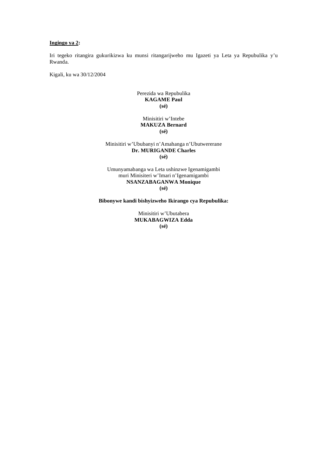## **Ingingo ya 2:**

Iri tegeko ritangira gukurikizwa ku munsi ritangarijweho mu Igazeti ya Leta ya Repubulika y'u Rwanda.

Kigali, ku wa 30/12/2004

# Perezida wa Repubulika **KAGAME Paul (sé)**

# Minisitiri w'Intebe **MAKUZA Bernard (sé)**

### Minisitiri w'Ububanyi n'Amahanga n'Ubutwererane **Dr. MURIGANDE Charles (sé)**

Umunyamabanga wa Leta ushinzwe Igenamigambi muri Minisiteri w'Imari n'Igenamigambi **NSANZABAGANWA Monique (sé)** 

**Bibonywe kandi bishyizweho Ikirango cya Repubulika:** 

Minisitiri w'Ubutabera **MUKABAGWIZA Edda (sé)**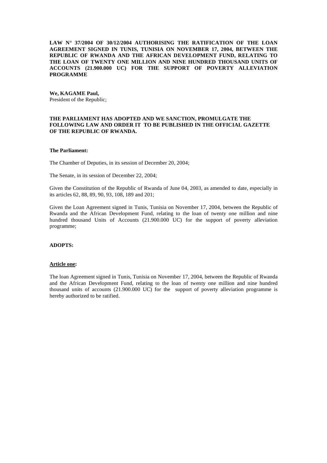**LAW N° 37/2004 OF 30/12/2004 AUTHORISING THE RATIFICATION OF THE LOAN AGREEMENT SIGNED IN TUNIS, TUNISIA ON NOVEMBER 17, 2004, BETWEEN THE REPUBLIC OF RWANDA AND THE AFRICAN DEVELOPMENT FUND, RELATING TO THE LOAN OF TWENTY ONE MILLION AND NINE HUNDRED THOUSAND UNITS OF ACCOUNTS (21.900.000 UC) FOR THE SUPPORT OF POVERTY ALLEVIATION PROGRAMME** 

**We, KAGAME Paul,** President of the Republic;

### **THE PARLIAMENT HAS ADOPTED AND WE SANCTION, PROMULGATE THE FOLLOWING LAW AND ORDER IT TO BE PUBLISHED IN THE OFFICIAL GAZETTE OF THE REPUBLIC OF RWANDA.**

### **The Parliament:**

The Chamber of Deputies, in its session of December 20, 2004;

The Senate, in its session of December 22, 2004;

Given the Constitution of the Republic of Rwanda of June 04, 2003, as amended to date, especially in its articles 62, 88, 89, 90, 93, 108, 189 and 201;

Given the Loan Agreement signed in Tunis, Tunisia on November 17, 2004, between the Republic of Rwanda and the African Development Fund, relating to the loan of twenty one million and nine hundred thousand Units of Accounts (21.900.000 UC) for the support of poverty alleviation programme;

## **ADOPTS:**

#### **Article one:**

The loan Agreement signed in Tunis, Tunisia on November 17, 2004, between the Republic of Rwanda and the African Development Fund, relating to the loan of twenty one million and nine hundred thousand units of accounts (21.900.000 UC) for the support of poverty alleviation programme is hereby authorized to be ratified.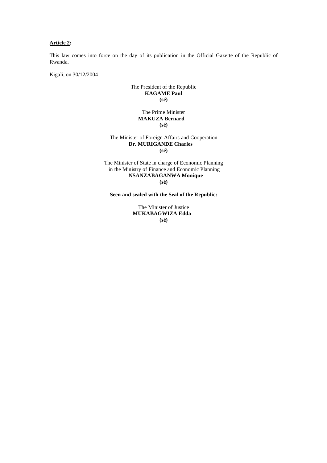# **Article 2:**

This law comes into force on the day of its publication in the Official Gazette of the Republic of Rwanda.

Kigali, on 30/12/2004

# The President of the Republic **KAGAME Paul (sé)**

# The Prime Minister  **MAKUZA Bernard (sé)**

# The Minister of Foreign Affairs and Cooperation **Dr. MURIGANDE Charles (sé)**

The Minister of State in charge of Economic Planning in the Ministry of Finance and Economic Planning **NSANZABAGANWA Monique (sé)** 

**Seen and sealed with the Seal of the Republic:** 

The Minister of Justice **MUKABAGWIZA Edda (sé)**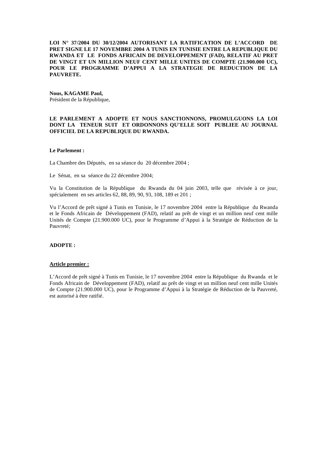**LOI N° 37/2004 DU 30/12/2004 AUTORISANT LA RATIFICATION DE L'ACCORD DE PRET SIGNE LE 17 NOVEMBRE 2004 A TUNIS EN TUNISIE ENTRE LA REPUBLIQUE DU RWANDA ET LE FONDS AFRICAIN DE DEVELOPPEMENT (FAD), RELATIF AU PRET DE VINGT ET UN MILLION NEUF CENT MILLE UNITES DE COMPTE (21.900.000 UC), POUR LE PROGRAMME D'APPUI A LA STRATEGIE DE REDUCTION DE LA PAUVRETE.** 

# **Nous, KAGAME Paul,**

Président de la République,

## **LE PARLEMENT A ADOPTE ET NOUS SANCTIONNONS, PROMULGUONS LA LOI DONT LA TENEUR SUIT ET ORDONNONS QU'ELLE SOIT PUBLIEE AU JOURNAL OFFICIEL DE LA REPUBLIQUE DU RWANDA.**

### **Le Parlement :**

La Chambre des Députés, en sa séance du 20 décembre 2004 ;

Le Sénat, en sa séance du 22 décembre 2004;

Vu la Constitution de la République du Rwanda du 04 juin 2003, telle que révisée à ce jour, spécialement en ses articles 62, 88, 89, 90, 93, 108, 189 et 201 ;

Vu l'Accord de prêt signé à Tunis en Tunisie, le 17 novembre 2004 entre la République du Rwanda et le Fonds Africain de Développement (FAD), relatif au prêt de vingt et un million neuf cent mille Unités de Compte (21.900.000 UC), pour le Programme d'Appui à la Stratégie de Réduction de la Pauvreté;

## **ADOPTE :**

### **Article premier :**

L'Accord de prêt signé à Tunis en Tunisie, le 17 novembre 2004 entre la République du Rwanda et le Fonds Africain de Développement (FAD), relatif au prêt de vingt et un million neuf cent mille Unités de Compte (21.900.000 UC), pour le Programme d'Appui à la Stratégie de Réduction de la Pauvreté, est autorisé à être ratifié.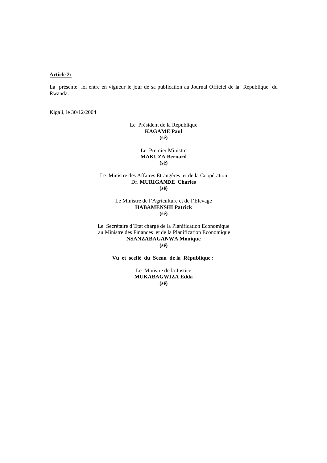## **Article 2:**

La présente loi entre en vigueur le jour de sa publication au Journal Officiel de la République du Rwanda.

Kigali, le 30/12/2004

Le Président de la République **KAGAME Paul (sé)** 

> Le Premier Ministre **MAKUZA Bernard (sé)**

Le Ministre des Affaires Etrangères et de la Coopération Dr. **MURIGANDE Charles (sé)**

> Le Ministre de l'Agriculture et de l'Elevage **HABAMENSHI Patrick (sé)**

Le Secrétaire d'Etat chargé de la Planification Economique au Ministre des Finances et de la Planification Economique **NSANZABAGANWA Monique (sé)** 

**Vu et scellé du Sceau de la République :** 

Le Ministre de la Justice **MUKABAGWIZA Edda (sé)**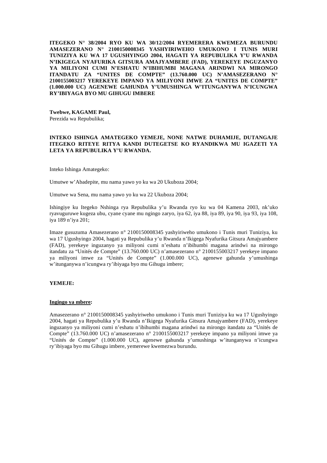**ITEGEKO N° 38/2004 RYO KU WA 30/12/2004 RYEMERERA KWEMEZA BURUNDU AMASEZERANO N° 2100150008345 YASHYIRIWEHO UMUKONO I TUNIS MURI TUNIZIYA KU WA 17 UGUSHYINGO 2004, HAGATI YA REPUBULIKA Y'U RWANDA N'IKIGEGA NYAFURIKA GITSURA AMAJYAMBERE (FAD), YEREKEYE INGUZANYO YA MILIYONI CUMI N'ESHATU N'IBIHUMBI MAGANA ARINDWI NA MIRONGO ITANDATU ZA "UNITES DE COMPTE" (13.760.000 UC) N'AMASEZERANO N° 2100155003217 YEREKEYE IMPANO YA MILIYONI IMWE ZA "UNITES DE COMPTE" (1.000.000 UC) AGENEWE GAHUNDA Y'UMUSHINGA W'ITUNGANYWA N'ICUNGWA RY'IBIYAGA BYO MU GIHUGU IMBERE** 

**Twebwe, KAGAME Paul,**  Perezida wa Repubulika;

# **INTEKO ISHINGA AMATEGEKO YEMEJE, NONE NATWE DUHAMIJE, DUTANGAJE ITEGEKO RITEYE RITYA KANDI DUTEGETSE KO RYANDIKWA MU IGAZETI YA LETA YA REPUBULIKA Y'U RWANDA.**

Inteko Ishinga Amategeko:

Umutwe w'Abadepite, mu nama yawo yo ku wa 20 Ukuboza 2004;

Umutwe wa Sena, mu nama yawo yo ku wa 22 Ukuboza 2004;

Ishingiye ku Itegeko Nshinga rya Repubulika y'u Rwanda ryo ku wa 04 Kamena 2003, nk'uko ryavuguruwe kugeza ubu, cyane cyane mu ngingo zaryo, iya 62, iya 88, iya 89, iya 90, iya 93, iya 108, iya 189 n'iya 201;

Imaze gusuzuma Amasezerano n° 2100150008345 yashyiriweho umukono i Tunis muri Tuniziya, ku wa 17 Ugushyingo 2004, hagati ya Repubulika y'u Rwanda n'Ikigega Nyafurika Gitsura Amajyambere (FAD), yerekeye inguzanyo ya miliyoni cumi n'eshatu n'ibihumbi magana arindwi na mirongo itandatu za "Unités de Compte" (13.760.000 UC) n'amasezerano n° 2100155003217 yerekeye impano ya miliyoni imwe za "Unités de Compte" (1.000.000 UC), agenewe gahunda y'umushinga w'itunganywa n'icungwa ry'ibiyaga byo mu Gihugu imbere;

# **YEMEJE:**

### **Ingingo ya mbere:**

Amasezerano n° 2100150008345 yashyiriweho umukono i Tunis muri Tuniziya ku wa 17 Ugushyingo 2004, hagati ya Repubulika y'u Rwanda n'Ikigega Nyafurika Gitsura Amajyambere (FAD), yerekeye inguzanyo ya miliyoni cumi n'eshatu n'ibihumbi magana arindwi na mirongo itandatu za "Unités de Compte" (13.760.000 UC) n'amasezerano n° 2100155003217 yerekeye impano ya miliyoni imwe ya "Unités de Compte" (1.000.000 UC), agenewe gahunda y'umushinga w'itunganywa n'icungwa ry'ibiyaga byo mu Gihugu imbere, yemerewe kwemezwa burundu.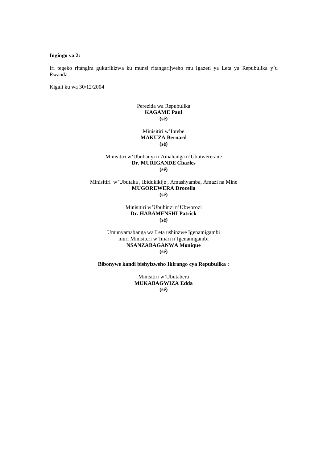#### **Ingingo ya 2:**

Iri tegeko ritangira gukurikizwa ku munsi ritangarijweho mu Igazeti ya Leta ya Repubulika y'u Rwanda.

Kigali ku wa 30/12/2004

# Perezida wa Repubulika **KAGAME Paul (sé)**

### Minisitiri w'Intebe **MAKUZA Bernard (sé)**

## Minisitiri w'Ububanyi n'Amahanga n'Ubutwererane **Dr. MURIGANDE Charles (sé)**

### Minisitiri w'Ubutaka , Ibidukikije , Amashyamba, Amazi na Mine **MUGOREWERA Drocella (sé)**

## Minisitiri w'Ubuhinzi n'Ubworozi **Dr. HABAMENSHI Patrick (sé)**

Umunyamabanga wa Leta ushinzwe Igenamigambi muri Minisiteri w'Imari n'Igenamigambi **NSANZABAGANWA Monique (sé)** 

**Bibonywe kandi bishyizweho Ikirango cya Repubulika :** 

Minisitiri w'Ubutabera **MUKABAGWIZA Edda (sé)**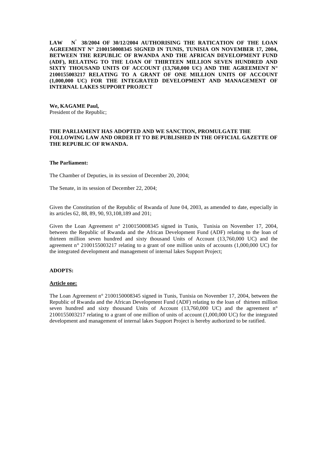**LAW N° 38/2004 OF 30/12/2004 AUTHORISING THE RATICATION OF THE LOAN AGREEMENT N° 2100150008345 SIGNED IN TUNIS, TUNISIA ON NOVEMBER 17, 2004, BETWEEN THE REPUBLIC OF RWANDA AND THE AFRICAN DEVELOPMENT FUND (ADF), RELATING TO THE LOAN OF THIRTEEN MILLION SEVEN HUNDRED AND SIXTY THOUSAND UNITS OF ACCOUNT (13,760,000 UC) AND THE AGREEMENT N° 2100155003217 RELATING TO A GRANT OF ONE MILLION UNITS OF ACCOUNT (1,000,000 UC) FOR THE INTEGRATED DEVELOPMENT AND MANAGEMENT OF INTERNAL LAKES SUPPORT PROJECT** 

**We, KAGAME Paul,**  President of the Republic;

### **THE PARLIAMENT HAS ADOPTED AND WE SANCTION, PROMULGATE THE FOLLOWING LAW AND ORDER IT TO BE PUBLISHED IN THE OFFICIAL GAZETTE OF THE REPUBLIC OF RWANDA.**

### **The Parliament:**

The Chamber of Deputies, in its session of December 20, 2004;

The Senate, in its session of December 22, 2004;

Given the Constitution of the Republic of Rwanda of June 04, 2003, as amended to date, especially in its articles 62, 88, 89, 90, 93,108,189 and 201;

Given the Loan Agreement n° 2100150008345 signed in Tunis, Tunisia on November 17, 2004, between the Republic of Rwanda and the African Development Fund (ADF) relating to the loan of thirteen million seven hundred and sixty thousand Units of Account (13,760,000 UC) and the agreement n° 2100155003217 relating to a grant of one million units of accounts (1,000,000 UC) for the integrated development and management of internal lakes Support Project;

### **ADOPTS:**

#### **Article one:**

The Loan Agreement n° 2100150008345 signed in Tunis, Tunisia on November 17, 2004, between the Republic of Rwanda and the African Development Fund (ADF) relating to the loan of thirteen million seven hundred and sixty thousand Units of Account  $(13,760,000)$  UC) and the agreement n° 2100155003217 relating to a grant of one million of units of account (1,000,000 UC) for the integrated development and management of internal lakes Support Project is hereby authorized to be ratified.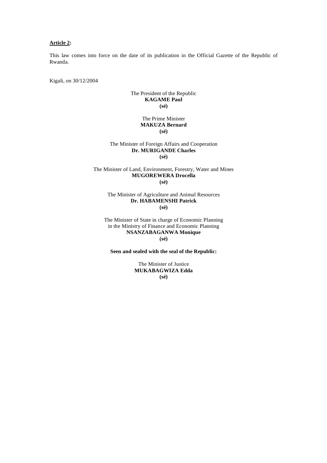# **Article 2:**

This law comes into force on the date of its publication in the Official Gazette of the Republic of Rwanda.

Kigali, on 30/12/2004

# The President of the Republic **KAGAME Paul (sé)**

# The Prime Minister **MAKUZA Bernard (sé)**

### The Minister of Foreign Affairs and Cooperation **Dr. MURIGANDE Charles (sé)**

### The Minister of Land, Environment, Forestry, Water and Mines **MUGOREWERA Drocella (sé)**

### The Minister of Agriculture and Animal Resources **Dr. HABAMENSHI Patrick (sé)**

The Minister of State in charge of Economic Planning in the Ministry of Finance and Economic Planning **NSANZABAGANWA Monique (sé)** 

### **Seen and sealed with the seal of the Republic:**

The Minister of Justice **MUKABAGWIZA Edda (sé)**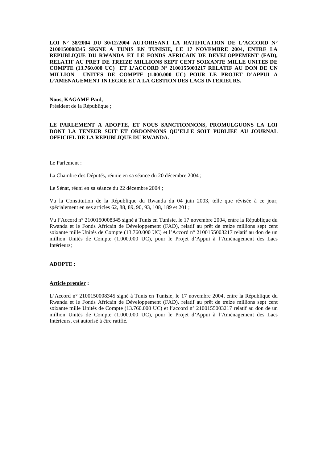**LOI N° 38/2004 DU 30/12/2004 AUTORISANT LA RATIFICATION DE L'ACCORD N° 2100150008345 SIGNE A TUNIS EN TUNISIE, LE 17 NOVEMBRE 2004, ENTRE LA REPUBLIQUE DU RWANDA ET LE FONDS AFRICAIN DE DEVELOPPEMENT (FAD), RELATIF AU PRET DE TREIZE MILLIONS SEPT CENT SOIXANTE MILLE UNITES DE COMPTE (13.760.000 UC) ET L'ACCORD N° 2100155003217 RELATIF AU DON DE UN MILLION UNITES DE COMPTE (1.000.000 UC) POUR LE PROJET D'APPUI A L'AMENAGEMENT INTEGRE ET A LA GESTION DES LACS INTERIEURS.** 

### **Nous, KAGAME Paul,**  Président de la République ;

# **LE PARLEMENT A ADOPTE, ET NOUS SANCTIONNONS, PROMULGUONS LA LOI DONT LA TENEUR SUIT ET ORDONNONS QU'ELLE SOIT PUBLIEE AU JOURNAL OFFICIEL DE LA REPUBLIQUE DU RWANDA.**

#### Le Parlement :

La Chambre des Députés, réunie en sa séance du 20 décembre 2004 ;

Le Sénat, réuni en sa séance du 22 décembre 2004 ;

Vu la Constitution de la République du Rwanda du 04 juin 2003, telle que révisée à ce jour, spécialement en ses articles 62, 88, 89, 90, 93, 108, 189 et 201 ;

Vu l'Accord n° 2100150008345 signé à Tunis en Tunisie, le 17 novembre 2004, entre la République du Rwanda et le Fonds Africain de Développement (FAD), relatif au prêt de treize millions sept cent soixante mille Unités de Compte (13.760.000 UC) et l'Accord n° 2100155003217 relatif au don de un million Unités de Compte (1.000.000 UC), pour le Projet d'Appui à l'Aménagement des Lacs Intérieurs;

### **ADOPTE :**

### **Article premier :**

L'Accord n° 2100150008345 signé à Tunis en Tunisie, le 17 novembre 2004, entre la République du Rwanda et le Fonds Africain de Développement (FAD), relatif au prêt de treize millions sept cent soixante mille Unités de Compte (13.760.000 UC) et l'accord n° 2100155003217 relatif au don de un million Unités de Compte (1.000.000 UC), pour le Projet d'Appui à l'Aménagement des Lacs Intérieurs, est autorisé à être ratifié.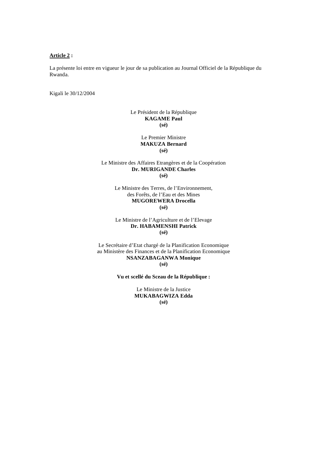### **Article 2 :**

La présente loi entre en vigueur le jour de sa publication au Journal Officiel de la République du Rwanda.

Kigali le 30/12/2004

# Le Président de la République **KAGAME Paul (sé)**

Le Premier Ministre **MAKUZA Bernard (sé)**

# Le Ministre des Affaires Etrangères et de la Coopération **Dr. MURIGANDE Charles (sé)**

Le Ministre des Terres, de l'Environnement, des Forêts, de l'Eau et des Mines **MUGOREWERA Drocella (sé)**

Le Ministre de l'Agriculture et de l'Elevage **Dr. HABAMENSHI Patrick (sé)** 

Le Secrétaire d'Etat chargé de la Planification Economique au Ministère des Finances et de la Planification Economique **NSANZABAGANWA Monique (sé)** 

**Vu et scellé du Sceau de la République :** 

Le Ministre de la Justice **MUKABAGWIZA Edda (sé)**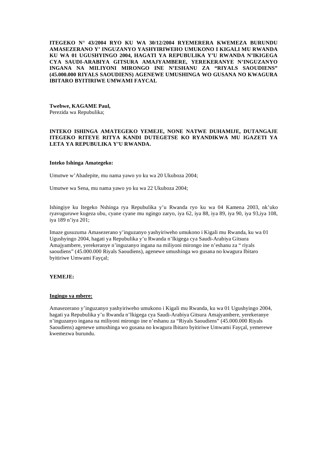**ITEGEKO N° 43/2004 RYO KU WA 30/12/2004 RYEMERERA KWEMEZA BURUNDU AMASEZERANO Y' INGUZANYO YASHYIRIWEHO UMUKONO I KIGALI MU RWANDA KU WA 01 UGUSHYINGO 2004, HAGATI YA REPUBULIKA Y'U RWANDA N'IKIGEGA CYA SAUDI-ARABIYA GITSURA AMAJYAMBERE, YEREKERANYE N'INGUZANYO INGANA NA MILIYONI MIRONGO INE N'ESHANU ZA "RIYALS SAOUDIENS" (45.000.000 RIYALS SAOUDIENS) AGENEWE UMUSHINGA WO GUSANA NO KWAGURA IBITARO BYITIRIWE UMWAMI FAYCAL** 

**Twebwe, KAGAME Paul,**  Perezida wa Repubulika;

# **INTEKO ISHINGA AMATEGEKO YEMEJE, NONE NATWE DUHAMIJE, DUTANGAJE ITEGEKO RITEYE RITYA KANDI DUTEGETSE KO RYANDIKWA MU IGAZETI YA LETA YA REPUBULIKA Y'U RWANDA.**

### **Inteko Ishinga Amategeko:**

Umutwe w'Abadepite, mu nama yawo yo ku wa 20 Ukuboza 2004;

Umutwe wa Sena, mu nama yawo yo ku wa 22 Ukuboza 2004;

Ishingiye ku Itegeko Nshinga rya Repubulika y'u Rwanda ryo ku wa 04 Kamena 2003, nk'uko ryavuguruwe kugeza ubu, cyane cyane mu ngingo zaryo, iya 62, iya 88, iya 89, iya 90, iya 93,iya 108, iya 189 n'iya 201;

Imaze gusuzuma Amasezerano y'inguzanyo yashyiriweho umukono i Kigali mu Rwanda, ku wa 01 Ugushyingo 2004, hagati ya Repubulika y'u Rwanda n'Ikigega cya Saudi-Arabiya Gitsura Amajyambere, yerekeranye n'inguzanyo ingana na miliyoni mirongo ine n'eshanu za " riyals saoudiens" (45.000.000 Riyals Saoudiens), agenewe umushinga wo gusana no kwagura Ibitaro byitiriwe Umwami Fayçal;

### **YEMEJE:**

#### **Ingingo ya mbere:**

Amasezerano y'inguzanyo yashyiriweho umukono i Kigali mu Rwanda, ku wa 01 Ugushyingo 2004, hagati ya Repubulika y'u Rwanda n'Ikigega cya Saudi-Arabiya Gitsura Amajyambere, yerekeranye n'inguzanyo ingana na miliyoni mirongo ine n'eshanu za "Riyals Saoudiens" (45.000.000 Riyals Saoudiens) agenewe umushinga wo gusana no kwagura Ibitaro byitiriwe Umwami Fayçal, yemerewe kwemezwa burundu.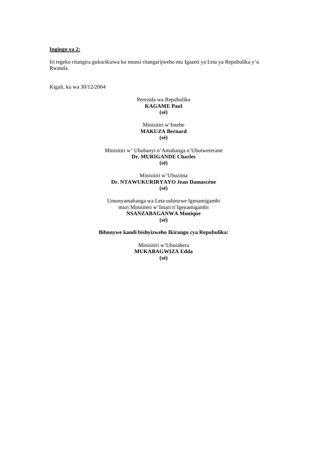### **Ingingo ya 2:**

Iri tegeko ritangira gukurikizwa ku munsi ritangarijweho mu Igazeti ya Leta ya Repubulika y'u Rwanda.

Kigali, ku wa 30/12/2004

# Perezida wa Repubulika **KAGAME Paul (sé)**

### Minisitiri w'Intebe **MAKUZA Bernard (sé)**

Minisitiri w' Ububanyi n'Amahanga n'Ubutwererane **Dr. MURIGANDE Charles (sé)** 

## Minisitiri w'Ubuzima **Dr. NTAWUKURIRYAYO Jean Damascène (sé)**

Umunyamabanga wa Leta ushinzwe Igenamigambi muri Minisiteri w'Imari n'Igenamigambi **NSANZABAGANWA Monique (sé)**

**Bibonywe kandi bishyizweho Ikirango cya Repubulika:** 

Minisitiri w'Ubutabera **MUKABAGWIZA Edda (sé)**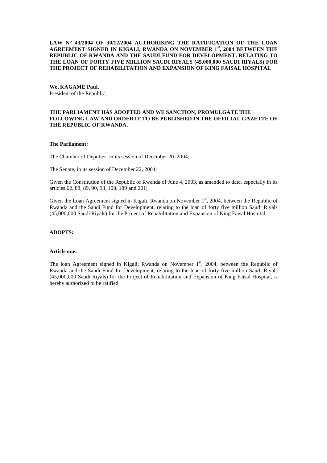**LAW N° 43/2004 OF 30/12/2004 AUTHORISING THE RATIFICATION OF THE LOAN AGREEMENT SIGNED IN KIGALI, RWANDA ON NOVEMBER 1st, 2004 BETWEEN THE REPUBLIC OF RWANDA AND THE SAUDI FUND FOR DEVELOPMENT, RELATING TO THE LOAN OF FORTY FIVE MILLION SAUDI RIYALS (45,000,000 SAUDI RIYALS) FOR THE PROJECT OF REHABILITATION AND EXPANSION OF KING FAISAL HOSPITAL** 

**We, KAGAME Paul,** President of the Republic;

## **THE PARLIAMENT HAS ADOPTED AND WE SANCTION, PROMULGATE THE FOLLOWING LAW AND ORDER IT TO BE PUBLISHED IN THE OFFICIAL GAZETTE OF THE REPUBLIC OF RWANDA.**

### **The Parliament:**

The Chamber of Deputies, in its session of December 20, 2004;

The Senate, in its session of December 22, 2004;

Given the Constitution of the Republic of Rwanda of June 4, 2003, as amended to date, especially in its articles 62, 88, 89, 90, 93, 108, 189 and 201;

Given the Loan Agreement signed in Kigali, Rwanda on November 1<sup>st</sup>, 2004, between the Republic of Rwanda and the Saudi Fund for Development, relating to the loan of forty five million Saudi Riyals (45,000,000 Saudi Riyals) for the Project of Rehabilitation and Expansion of King Faisal Hospital;

# **ADOPTS:**

#### **Article one:**

The loan Agreement signed in Kigali, Rwanda on November  $1<sup>st</sup>$ , 2004, between the Republic of Rwanda and the Saudi Fund for Development, relating to the loan of forty five million Saudi Riyals (45,000,000 Saudi Riyals) for the Project of Rehabilitation and Expansion of King Faisal Hospital, is hereby authorized to be ratified.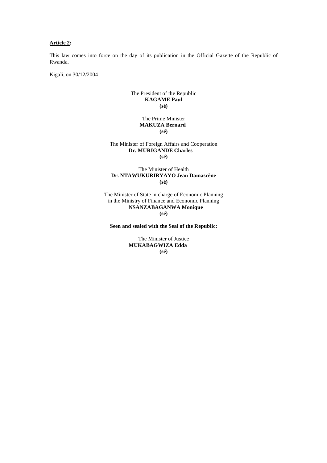# **Article 2:**

This law comes into force on the day of its publication in the Official Gazette of the Republic of Rwanda.

Kigali, on 30/12/2004

# The President of the Republic **KAGAME Paul (sé)**

The Prime Minister  **MAKUZA Bernard (sé)** 

### The Minister of Foreign Affairs and Cooperation **Dr. MURIGANDE Charles (sé)**

### The Minister of Health **Dr. NTAWUKURIRYAYO Jean Damascène (sé)**

The Minister of State in charge of Economic Planning in the Ministry of Finance and Economic Planning **NSANZABAGANWA Monique (sé)** 

**Seen and sealed with the Seal of the Republic:** 

The Minister of Justice **MUKABAGWIZA Edda (sé)**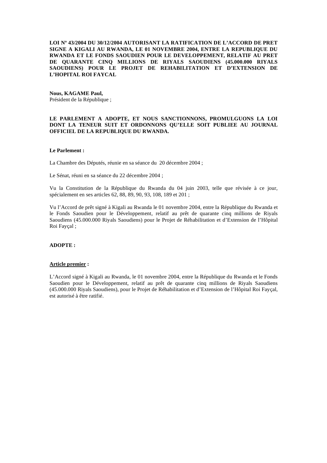**LOI Nº 43/2004 DU 30/12/2004 AUTORISANT LA RATIFICATION DE L'ACCORD DE PRET SIGNE A KIGALI AU RWANDA, LE 01 NOVEMBRE 2004, ENTRE LA REPUBLIQUE DU RWANDA ET LE FONDS SAOUDIEN POUR LE DEVELOPPEMENT, RELATIF AU PRET DE QUARANTE CINQ MILLIONS DE RIYALS SAOUDIENS (45.000.000 RIYALS SAOUDIENS) POUR LE PROJET DE REHABILITATION ET D'EXTENSION DE L'HOPITAL ROI FAYCAL** 

# **Nous, KAGAME Paul,**

Président de la République ;

## **LE PARLEMENT A ADOPTE, ET NOUS SANCTIONNONS, PROMULGUONS LA LOI DONT LA TENEUR SUIT ET ORDONNONS QU'ELLE SOIT PUBLIEE AU JOURNAL OFFICIEL DE LA REPUBLIQUE DU RWANDA.**

### **Le Parlement :**

La Chambre des Députés, réunie en sa séance du 20 décembre 2004 ;

Le Sénat, réuni en sa séance du 22 décembre 2004 ;

Vu la Constitution de la République du Rwanda du 04 juin 2003, telle que révisée à ce jour, spécialement en ses articles 62, 88, 89, 90, 93, 108, 189 et 201 ;

Vu l'Accord de prêt signé à Kigali au Rwanda le 01 novembre 2004, entre la République du Rwanda et le Fonds Saoudien pour le Développement, relatif au prêt de quarante cinq millions de Riyals Saoudiens (45.000.000 Riyals Saoudiens) pour le Projet de Réhabilitation et d'Extension de l'Hôpital Roi Fayçal ;

# **ADOPTE :**

### **Article premier :**

L'Accord signé à Kigali au Rwanda, le 01 novembre 2004, entre la République du Rwanda et le Fonds Saoudien pour le Développement, relatif au prêt de quarante cinq millions de Riyals Saoudiens (45.000.000 Riyals Saoudiens), pour le Projet de Réhabilitation et d'Extension de l'Hôpital Roi Fayçal, est autorisé à être ratifié.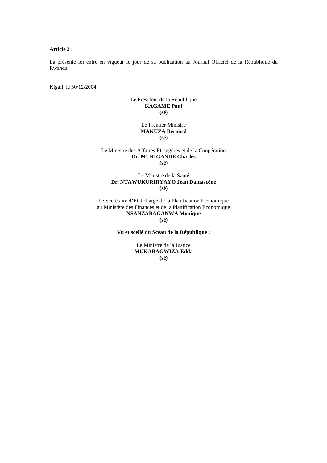### **Article 2 :**

La présente loi entre en vigueur le jour de sa publication au Journal Officiel de la République du Rwanda.

Kigali, le 30/12/2004

# Le Président de la République **KAGAME Paul (sé)**

### Le Premier Ministre **MAKUZA Bernard (sé)**

Le Ministre des Affaires Etrangères et de la Coopération **Dr. MURIGANDE Charles (sé)** 

# Le Ministre de la Santé **Dr. NTAWUKURIRYAYO Jean Damascène (sé)**

Le Secrétaire d'Etat chargé de la Planification Economique au Ministère des Finances et de la Planification Economique **NSANZABAGANWA Monique** 

**(sé)** 

**Vu et scellé du Sceau de la République :** 

Le Ministre de la Justice **MUKABAGWIZA Edda (sé)**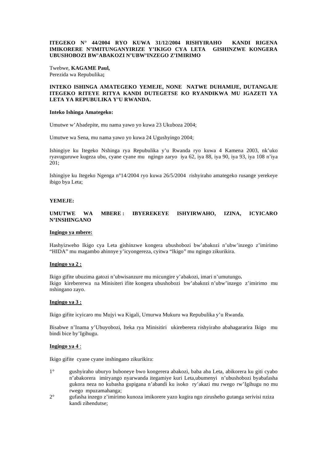# **ITEGEKO N° 44/2004 RYO KUWA 31/12/2004 RISHYIRAHO KANDI RIGENA IMIKORERE N'IMITUNGANYIRIZE Y'IKIGO CYA LETA GISHINZWE KONGERA UBUSHOBOZI BW'ABAKOZI N'UBW'INZEGO Z'IMIRIMO**

Twebwe, **KAGAME Paul,**  Perezida wa Repubulika**;** 

# **INTEKO ISHINGA AMATEGEKO YEMEJE, NONE NATWE DUHAMIJE, DUTANGAJE ITEGEKO RITEYE RITYA KANDI DUTEGETSE KO RYANDIKWA MU IGAZETI YA LETA YA REPUBULIKA Y'U RWANDA.**

### **Inteko Ishinga Amategeko:**

Umutwe w'Abadepite, mu nama yawo yo kuwa 23 Ukuboza 2004;

Umutwe wa Sena, mu nama yawo yo kuwa 24 Ugushyingo 2004;

Ishingiye ku Itegeko Nshinga rya Repubulika y'u Rwanda ryo kuwa 4 Kamena 2003, nk'uko ryavuguruwe kugeza ubu, cyane cyane mu ngingo zaryo iya 62, iya 88, iya 90, iya 93, iya 108 n'iya 201;

Ishingiye ku Itegeko Ngenga n°14/2004 ryo kuwa 26/5/2004 rishyiraho amategeko rusange yerekeye ibigo bya Leta;

### **YEMEJE:**

**UMUTWE WA MBERE : IBYEREKEYE ISHYIRWAHO, IZINA, ICYICARO N'INSHINGANO**

### **Ingingo ya mbere:**

Hashyizweho Ikigo cya Leta gishinzwe kongera ubushobozi bw'abakozi n'ubw'inzego z'imirimo "HIDA" mu magambo ahinnye y'icyongereza, cyitwa "Ikigo" mu ngingo zikurikira.

### **Ingingo ya 2 :**

Ikigo gifite ubuzima gatozi n'ubwisanzure mu micungire y'abakozi, imari n'umutungo**.** Ikigo kirebererwa na Minisiteri ifite kongera ubushobozi bw'abakozi n'ubw'inzego z'imirimo mu nshingano zayo.

### **Ingingo ya 3 :**

Ikigo gifite icyicaro mu Mujyi wa Kigali, Umurwa Mukuru wa Repubulika y'u Rwanda.

Bisabwe n'Inama y'Ubuyobozi, Iteka rya Minisitiri ukireberera rishyiraho abahagararira Ikigo mu bindi bice by'Igihugu.

# **Ingingo ya 4** :

Ikigo gifite cyane cyane inshingano zikurikira:

- 1° gushyiraho uburyo buboneye bwo kongerera abakozi, baba aba Leta, abikorera ku giti cyabo n'abakorera imiryango nyarwanda itegamiye kuri Leta,ubumenyi n'ubushobozi byabafasha gukora neza no kubasha gupigana n'abandi ku isoko ry'akazi mu rwego rw'Igihugu no mu rwego mpuzamahanga;
- 2° gufasha inzego z'imirimo kunoza imikorere yazo kugira ngo zirusheho gutanga serivisi nziza kandi zihendutse;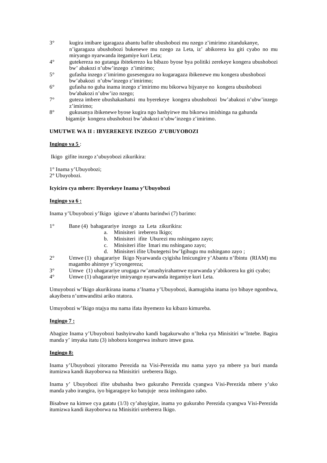- 3° kugira imibare igaragaza abantu bafite ubushobozi mu nzego z'imirimo zitandukanye, n'igaragaza ubushobozi bukenewe mu nzego za Leta, iz' abikorera ku giti cyabo no mu miryango nyarwanda itegamiye kuri Leta;
- 4° gutekereza no gutanga ibitekerezo ku bibazo byose bya politiki zerekeye kongera ubushobozi bw' abakozi n'ubw'inzego z'imirimo;
- 5° gufasha inzego z'imirimo gusesengura no kugaragaza ibikenewe mu kongera ubushobozi bw'abakozi n'ubw'inzego z'imirimo;
- 6° gufasha no guha inama inzego z'imirimo mu bikorwa bijyanye no kongera ubushobozi bw'abakozi n'ubw'izo nzego;
- 7° guteza imbere ubushakashatsi mu byerekeye kongera ubushobozi bw'abakozi n'ubw'inzego z'imirimo;
- 8° gukusanya ibikenewe byose kugira ngo hashyirwe mu bikorwa imishinga na gahunda bigamije kongera ubushobozi bw'abakozi n'ubw'inzego z'imirimo.

# **UMUTWE WA II : IBYEREKEYE INZEGO Z'UBUYOBOZI**

# **Ingingo ya 5** :

Ikigo gifite inzego z'ubuyobozi zikurikira:

1° Inama y'Ubuyobozi;

2**°** Ubuyobozi.

# **Icyiciro cya mbere: Ibyerekeye Inama y'Ubuyobozi**

# **Ingingo ya 6 :**

Inama y'Ubuyobozi y'Ikigo igizwe n'abantu barindwi (7) barimo:

- 1° Bane (4) bahagarariye inzego za Leta zikurikira:
	- a. Minisiteri ireberera Ikigo;
	- b. Minisiteri ifite Uburezi mu nshingano zayo;
	- c. Minisiteri ifite Imari mu nshingano zayo;
	- d. Minisiteri ifite Ubutegetsi bw'Igihugu mu nshingano zayo ;
- 2° Umwe (1) uhagarariye Ikigo Nyarwanda cyigisha Imicungire y'Abantu n'Ibintu (RIAM) mu magambo ahinnye y'icyongereza;
- 3° Umwe (1) uhagarariye urugaga rw'amashyirahamwe nyarwanda y'abikorera ku giti cyabo;
- 4° Umwe (1) uhagarariye imiryango nyarwanda itegamiye kuri Leta.

Umuyobozi w'Ikigo akurikirana inama z'Inama y'Ubuyobozi, ikamugisha inama iyo bibaye ngombwa, akayibera n'umwanditsi ariko ntatora.

Umuyobozi w'Ikigo ntajya mu nama ifata ibyemezo ku kibazo kimureba.

# **Ingingo 7 :**

Abagize Inama y'Ubuyobozi bashyirwaho kandi bagakurwaho n'Iteka rya Minisitiri w'Intebe. Bagira manda y' imyaka itatu (3) ishobora kongerwa inshuro imwe gusa.

# **Ingingo 8:**

Inama y'Ubuyobozi yitoramo Perezida na Visi-Perezida mu nama yayo ya mbere ya buri manda itumizwa kandi ikayoborwa na Minisitiri ureberera Ikigo.

Inama y' Ubuyobozi ifite ububasha bwo gukuraho Perezida cyangwa Visi-Perezida mbere y'uko manda yabo irangira, iyo bigaragaye ko batujuje neza inshingano zabo.

Bisabwe na kimwe cya gatatu (1/3) cy'abayigize, inama yo gukuraho Perezida cyangwa Visi-Perezida itumizwa kandi ikayoborwa na Minisitiri ureberera Ikigo.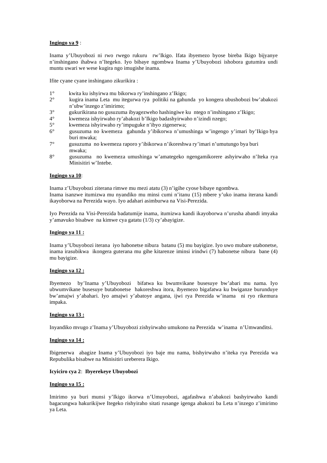## **Ingingo ya 9** :

Inama y'Ubuyobozi ni rwo rwego rukuru rw'Ikigo. Ifata ibyemezo byose bireba Ikigo bijyanye n'inshingano ihabwa n'Itegeko. Iyo bibaye ngombwa Inama y'Ubuyobozi ishobora gutumira undi muntu uwari we wese kugira ngo imugishe inama.

Ifite cyane cyane inshingano zikurikira :

- 1° kwita ku ishyirwa mu bikorwa ry'inshingano z'Ikigo;
- 2° kugira inama Leta mu itegurwa rya politiki na gahunda yo kongera ubushobozi bw'abakozi n'ubw'inzego z'imirimo;
- $3^{\circ}$  gukurikirana no gusuzuma ibyagezweho hashingiwe ku ntego n'inshingano z'Ikigo;<br> $4^{\circ}$  kwemeza ishvirwaho ry'abakozi b'Ikigo hadashvirwaho n'izindi nzego:
- 4° kwemeza ishyirwaho ry'abakozi b'Ikigo badashyirwaho n'izindi nzego;
- 5° kwemeza ishyirwaho ry'impuguke n'ibyo zigenerwa;
- 6° gusuzuma no kwemeza gahunda y'ibikorwa n'umushinga w'ingengo y'imari by'Ikigo bya buri mwaka;
- 7° gusuzuma no kwemeza raporo y'ibikorwa n'ikoreshwa ry'imari n'umutungo bya buri mwaka;
- 8° gusuzuma no kwemeza umushinga w'amategeko ngengamikorere ashyirwaho n'Iteka rya Minisitiri w'Intebe.

### **Ingingo ya 10**:

Inama z'Ubuyobozi ziterana rimwe mu mezi atatu (3) n'igihe cyose bibaye ngombwa. Inama isanzwe itumizwa mu nyandiko mu minsi cumi n'itanu (15) mbere y'uko inama iterana kandi ikayoborwa na Perezida wayo. Iyo adahari asimburwa na Visi-Perezida.

Iyo Perezida na Visi-Perezida badatumije inama, itumizwa kandi ikayoborwa n'urusha abandi imyaka y'amavuko bisabwe na kimwe cya gatatu (1/3) cy'abayigize.

## **Ingingo ya 11 :**

Inama y'Ubuyobozi iterana iyo habonetse nibura batanu (5) mu bayigize. Iyo uwo mubare utabonetse, inama irasubikwa ikongera guterana mu gihe kitarenze iminsi irindwi (7) habonetse nibura bane (4) mu bayigize.

# **Ingingo ya 12 :**

Ibyemezo by'Inama y'Ubuyobozi bifatwa ku bwumvikane busesuye bw'abari mu nama. Iyo ubwumvikane busesuye butabonetse hakoreshwa itora, ibyemezo bigafatwa ku bwiganze burunduye bw'amajwi y'abahari. Iyo amajwi y'abatoye angana, ijwi rya Perezida w'inama ni ryo rikemura impaka.

### **Ingingo ya 13 :**

Inyandiko mvugo z'Inama y'Ubuyobozi zishyirwaho umukono na Perezida w'inama n'Umwanditsi.

# **Ingingo ya 14 :**

Ibigenerwa abagize Inama y'Ubuyobozi iyo baje mu nama, bishyirwaho n'iteka rya Perezida wa Repubulika bisabwe na Minisitiri ureberera Ikigo.

### **Icyiciro cya 2**: **Ibyerekeye Ubuyobozi**

### **Ingingo ya 15 :**

Imirimo ya buri munsi y'Ikigo ikorwa n'Umuyobozi, agafashwa n'abakozi bashyirwaho kandi bagacungwa hakurikijwe Itegeko rishyiraho sitati rusange igenga abakozi ba Leta n'inzego z'imirimo ya Leta.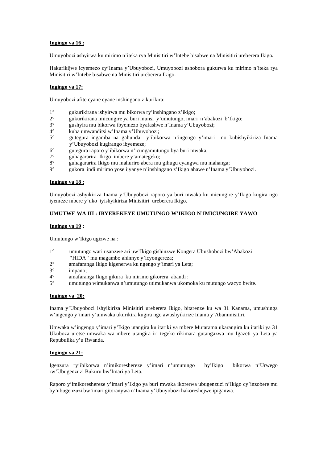# **Ingingo ya 16 :**

Umuyobozi ashyirwa ku mirimo n'iteka rya Minisitiri w'Intebe bisabwe na Minisitiri ureberera Ikigo**.** 

Hakurikijwe icyemezo cy'Inama y'Ubuyobozi, Umuyobozi ashobora gukurwa ku mirimo n'iteka rya Minisitiri w'Intebe bisabwe na Minisitiri ureberera Ikigo.

### **Ingingo ya 17:**

Umuyobozi afite cyane cyane inshingano zikurikira:

- 1° gukurikirana ishyirwa mu bikorwa ry'inshingano z'ikigo;
- 2° gukurikirana imicungire ya buri munsi y'umutungo, imari n'abakozi b'Ikigo;
- 3° gushyira mu bikorwa ibyemezo byafashwe n'Inama y'Ubuyobozi;
- 4° kuba umwanditsi w'Inama y'Ubuyobozi;
- 5° gutegura ingamba na gahunda y'ibikorwa n'ingengo y'imari no kubishyikiriza Inama y'Ubuyobozi kugirango ibyemeze;
- 6° gutegura raporo y'ibikorwa n'icungamutungo bya buri mwaka;
- 7° guhagararira Ikigo imbere y'amategeko;
- 8° guhagararira Ikigo mu mahuriro abera mu gihugu cyangwa mu mahanga;
- 9° gukora indi mirimo yose ijyanye n'inshingano z'Ikigo ahawe n'Inama y'Ubuyobozi.

#### **Ingingo ya 18 :**

Umuyobozi ashyikiriza Inama y'Ubuyobozi raporo ya buri mwaka ku micungire y'Ikigo kugira ngo iyemeze mbere y'uko iyishyikiriza Minisitiri ureberera Ikigo.

### **UMUTWE WA III : IBYEREKEYE UMUTUNGO W'IKIGO N'IMICUNGIRE YAWO**

#### **Ingingo ya 19 :**

Umutungo w'Ikigo ugizwe na :

- 1° umutungo wari usanzwe ari uw'Ikigo gishinzwe Kongera Ubushobozi bw'Abakozi **"**HIDA**"** mu magambo ahinnye y'icyongereza;
- 2° amafaranga Ikigo kigenerwa ku ngengo y'imari ya Leta;
- 3° impano;
- 4° amafaranga Ikigo gikura ku mirimo gikorera abandi ;
- 5° umutungo wimukanwa n'umutungo utimukanwa ukomoka ku mutungo wacyo bwite.

#### **Ingingo ya 20:**

Inama y'Ubuyobozi ishyikiriza Minisitiri ureberera Ikigo, bitarenze ku wa 31 Kanama, umushinga w'ingengo y'imari y'umwaka ukurikira kugira ngo awushyikirize Inama y'Abaminisitiri.

Umwaka w'ingengo y'imari y'Ikigo utangira ku itariki ya mbere Mutarama ukarangira ku itariki ya 31 Ukuboza uretse umwaka wa mbere utangira iri tegeko rikimara gutangazwa mu Igazeti ya Leta ya Repubulika y'u Rwanda.

### **Ingingo ya 21:**

Igenzura ry'ibikorwa n'imikoreshereze y'imari n'umutungo by'Ikigo bikorwa n'Urwego rw'Ubugenzuzi Bukuru bw'Imari ya Leta.

Raporo y'imikoreshereze y'imari y'Ikigo ya buri mwaka ikorerwa ubugenzuzi n'Ikigo cy'inzobere mu by'ubugenzuzi bw'imari gitoranywa n'Inama y'Ubuyobozi hakoreshejwe ipiganwa.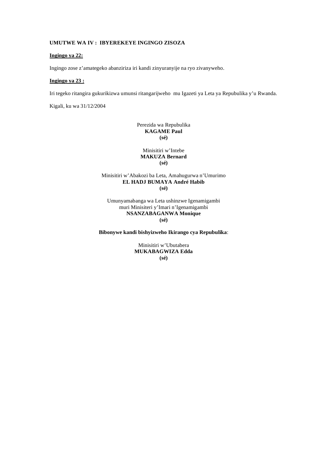# **UMUTWE WA IV : IBYEREKEYE INGINGO ZISOZA**

### **Ingingo ya 22:**

Ingingo zose z'amategeko abanziriza iri kandi zinyuranyije na ryo zivanyweho.

# **Ingingo ya 23 :**

Iri tegeko ritangira gukurikizwa umunsi ritangarijweho mu Igazeti ya Leta ya Repubulika y'u Rwanda.

Kigali, ku wa 31/12/2004

Perezida wa Repubulika **KAGAME Paul (sé)** 

Minisitiri w'Intebe **MAKUZA Bernard (sé)** 

Minisitiri w'Abakozi ba Leta, Amahugurwa n'Umurimo **EL HADJ BUMAYA André Habib (sé)**

Umunyamabanga wa Leta ushinzwe Igenamigambi muri Minisiteri y'Imari n'Igenamigambi **NSANZABAGANWA Monique (sé)** 

**Bibonywe kandi bishyizweho Ikirango cya Repubulika**:

Minisitiri w'Ubutabera **MUKABAGWIZA Edda (sé)**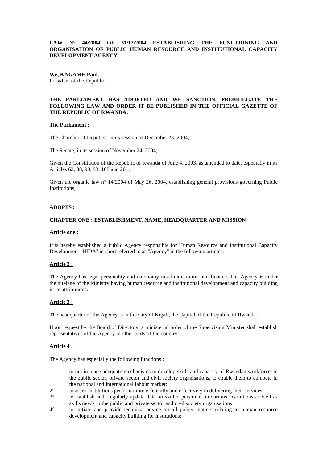# **LAW N° 44/2004 OF 31/12/2004 ESTABLISHING THE FUNCTIONING AND ORGANISATION OF PUBLIC HUMAN RESOURCE AND INSTITUTIONAL CAPACITY DEVELOPMENT AGENCY**

**We, KAGAME Paul,**  President of the Republic;

# **THE PARLIAMENT HAS ADOPTED AND WE SANCTION, PROMULGATE THE FOLLOWING LAW AND ORDER IT BE PUBLISHED IN THE OFFICIAL GAZETTE OF THE REPUBLIC OF RWANDA.**

### **The Parliament** :

The Chamber of Deputies, in its session of December 23, 2004;

The Senate, in its session of November 24, 2004;

Given the Constitution of the Republic of Rwanda of June 4, 2003, as amended to date, especially in its Articles 62, 88, 90, 93, 108 and 201;

Given the organic law n° 14/2004 of May 26, 2004, establishing general provisions governing Public Institutions;

# **ADOPTS :**

### **CHAPTER ONE : ESTABLISHMENT, NAME, HEADQUARTER AND MISSION**

# **Article one :**

It is hereby established a Public Agency responsible for Human Resource and Institutional Capacity Development ''HIDA'' in short referred to as ''Agency'' in the following articles.

### **Article 2 :**

The Agency has legal personality and autonomy in administration and finance. The Agency is under the tutelage of the Ministry having human resource and institutional development and capacity building in its attributions.

### **Article 3 :**

The headquarter of the Agency is in the City of Kigali, the Capital of the Republic of Rwanda.

Upon request by the Board of Directors, a ministerial order of the Supervising Minister shall establish representatives of the Agency in other parts of the country.

### **Article 4 :**

The Agency has especially the following functions :

- 1. to put in place adequate mechanisms to develop skills and capacity of Rwandan workforce, in the public sector, private sector and civil society organisations, to enable them to compete in the national and international labour market;
- 2° to assist institutions perform more efficiently and effectively in delivering their services;
- 3° to establish and regularly update data on skilled personnel in various institutions as well as skills needs in the public and private sector and civil society organisations;
- 4° to initiate and provide technical advice on all policy matters relating to human resource development and capacity building for institutions;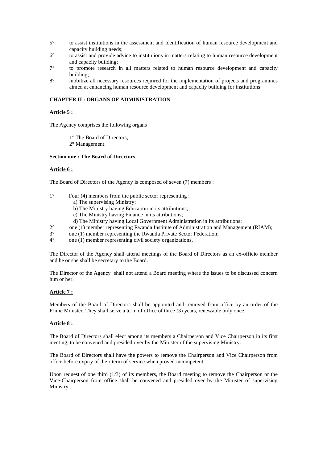- 5° to assist institutions in the assessment and identification of human resource development and capacity building needs;
- 6° to assist and provide advice to institutions in matters relating to human resource development and capacity building;
- 7° to promote research in all matters related to human resource development and capacity building;
- 8° mobilize all necessary resources required for the implementation of projects and programmes aimed at enhancing human resource development and capacity building for institutions.

# **CHAPTER II : ORGANS OF ADMINISTRATION**

## **Article 5 :**

The Agency comprises the following organs :

- 1° The Board of Directors;
- 2° Management.

# **Section one : The Board of Directors**

### **Article 6 :**

The Board of Directors of the Agency is composed of seven (7) members :

- 1° Four (4) members from the public sector representing :
	- a) The supervising Ministry;
	- b) The Ministry having Education in its attributions;
	- c) The Ministry having Finance in its attributions;
	- d) The Ministry having Local Government Administration in its attributions;
- 2° one (1) member representing Rwanda Institute of Administration and Management (RIAM);<br>3° one (1) member representing the Rwanda Private Sector Federation:
- one (1) member representing the Rwanda Private Sector Federation;
- 4° one (1) member representing civil society organizations.

The Director of the Agency shall attend meetings of the Board of Directors as an ex-officio member and he or she shall be secretary to the Board.

The Director of the Agency shall not attend a Board meeting where the issues to be discussed concern him or her.

### **Article 7 :**

Members of the Board of Directors shall be appointed and removed from office by an order of the Prime Minister. They shall serve a term of office of three (3) years, renewable only once.

### **Article 8 :**

The Board of Directors shall elect among its members a Chairperson and Vice Chairperson in its first meeting, to be convened and presided over by the Minister of the supervising Ministry.

The Board of Directors shall have the powers to remove the Chairperson and Vice Chairperson from office before expiry of their term of service when proved incompetent.

Upon request of one third (1/3) of its members, the Board meeting to remove the Chairperson or the Vice-Chairperson from office shall be convened and presided over by the Minister of supervising Ministry .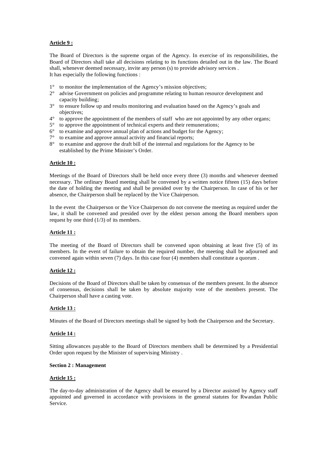# **Article 9 :**

The Board of Directors is the supreme organ of the Agency. In exercise of its responsibilities, the Board of Directors shall take all decisions relating to its functions detailed out in the law. The Board shall, whenever deemed necessary, invite any person (s) to provide advisory services . It has especially the following functions :

- 1° to monitor the implementation of the Agency's mission objectives;
- 2° advise Government on policies and programme relating to human resource development and capacity building;
- 3° to ensure follow up and results monitoring and evaluation based on the Agency's goals and objectives;
- $4^\circ$  to approve the appointment of the members of staff who are not appointed by any other organs;
- 5° to approve the appointment of technical experts and their remunerations;
- $6^{\circ}$  to examine and approve annual plan of actions and budget for the Agency;
- 7° to examine and approve annual activity and financial reports;
- 8° to examine and approve the draft bill of the internal and regulations for the Agency to be established by the Prime Minister's Order.

### **Article 10 :**

Meetings of the Board of Directors shall be held once every three (3) months and whenever deemed necessary. The ordinary Board meeting shall be convened by a written notice fifteen (15) days before the date of holding the meeting and shall be presided over by the Chairperson. In case of his or her absence, the Chairperson shall be replaced by the Vice Chairperson.

In the event the Chairperson or the Vice Chairperson do not convene the meeting as required under the law, it shall be convened and presided over by the eldest person among the Board members upon request by one third (1/3) of its members.

### **Article 11 :**

The meeting of the Board of Directors shall be convened upon obtaining at least five (5) of its members. In the event of failure to obtain the required number, the meeting shall be adjourned and convened again within seven (7) days. In this case four (4) members shall constitute a quorum .

### **Article 12 :**

Decisions of the Board of Directors shall be taken by consensus of the members present. In the absence of consensus, decisions shall be taken by absolute majority vote of the members present. The Chairperson shall have a casting vote.

### **Article 13 :**

Minutes of the Board of Directors meetings shall be signed by both the Chairperson and the Secretary.

### **Article 14 :**

Sitting allowances payable to the Board of Directors members shall be determined by a Presidential Order upon request by the Minister of supervising Ministry .

### **Section 2 : Management**

### **Article 15 :**

The day-to-day administration of the Agency shall be ensured by a Director assisted by Agency staff appointed and governed in accordance with provisions in the general statutes for Rwandan Public Service.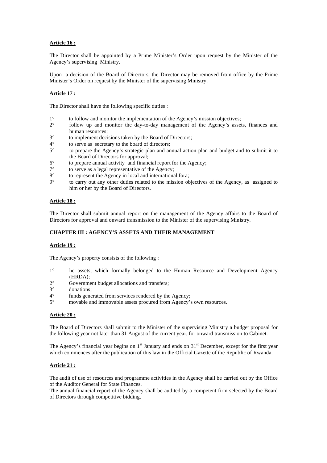# **Article 16 :**

The Director shall be appointed by a Prime Minister's Order upon request by the Minister of the Agency's supervising Ministry.

Upon a decision of the Board of Directors, the Director may be removed from office by the Prime Minister's Order on request by the Minister of the supervising Ministry.

## **Article 17 :**

The Director shall have the following specific duties :

- 1° to follow and monitor the implementation of the Agency's mission objectives;
- 2° follow up and monitor the day-to-day management of the Agency's assets, finances and human resources;
- 3° to implement decisions taken by the Board of Directors;
- $4^{\circ}$  to serve as secretary to the board of directors;<br> $5^{\circ}$  to prepare the Agency's strategic plan and an
- 5° to prepare the Agency's strategic plan and annual action plan and budget and to submit it to the Board of Directors for approval;
- 6° to prepare annual activity and financial report for the Agency;
- 7° to serve as a legal representative of the Agency;
- 8° to represent the Agency in local and international fora;
- 9° to carry out any other duties related to the mission objectives of the Agency, as assigned to him or her by the Board of Directors.

### **Article 18 :**

The Director shall submit annual report on the management of the Agency affairs to the Board of Directors for approval and onward transmission to the Minister of the supervising Ministry.

# **CHAPTER III : AGENCY'S ASSETS AND THEIR MANAGEMENT**

### **Article 19 :**

The Agency's property consists of the following :

- 1° he assets, which formally belonged to the Human Resource and Development Agency (HRDA);
- $2^{\circ}$  Government budget allocations and transfers;<br> $3^{\circ}$  donations:
- donations;
- 4° funds generated from services rendered by the Agency;
- 5° movable and immovable assets procured from Agency's own resources.

### **Article 20 :**

The Board of Directors shall submit to the Minister of the supervising Ministry a budget proposal for the following year not later than 31 August of the current year, for onward transmission to Cabinet.

The Agency's financial year begins on  $1<sup>st</sup>$  January and ends on  $31<sup>st</sup>$  December, except for the first year which commences after the publication of this law in the Official Gazette of the Republic of Rwanda.

### **Article 21 :**

The audit of use of resources and programme activities in the Agency shall be carried out by the Office of the Auditor General for State Finances.

The annual financial report of the Agency shall be audited by a competent firm selected by the Board of Directors through competitive bidding.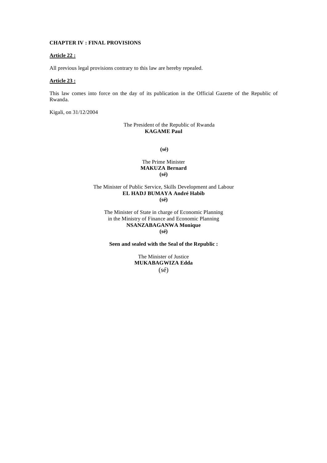# **CHAPTER IV : FINAL PROVISIONS**

### **Article 22 :**

All previous legal provisions contrary to this law are hereby repealed.

## **Article 23 :**

This law comes into force on the day of its publication in the Official Gazette of the Republic of Rwanda.

Kigali, on 31/12/2004

# The President of the Republic of Rwanda **KAGAME Paul**

 **(sé)** 

### The Prime Minister **MAKUZA Bernard (sé)**

### The Minister of Public Service, Skills Development and Labour **EL HADJ BUMAYA André Habib (sé)**

The Minister of State in charge of Economic Planning in the Ministry of Finance and Economic Planning **NSANZABAGANWA Monique** 

**(sé)** 

**Seen and sealed with the Seal of the Republic :** 

The Minister of Justice **MUKABAGWIZA Edda**   $(s\acute{e})$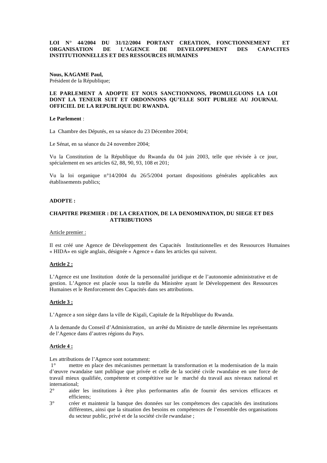# **LOI N° 44/2004 DU 31/12/2004 PORTANT CREATION, FONCTIONNEMENT ET ORGANISATION DE L'AGENCE DE DEVELOPPEMENT DES CAPACITES INSTITUTIONNELLES ET DES RESSOURCES HUMAINES**

**Nous, KAGAME Paul,**  Président de la République;

# **LE PARLEMENT A ADOPTE ET NOUS SANCTIONNONS, PROMULGUONS LA LOI DONT LA TENEUR SUIT ET ORDONNONS QU'ELLE SOIT PUBLIEE AU JOURNAL OFFICIEL DE LA REPUBLIQUE DU RWANDA.**

### **Le Parlement** :

La Chambre des Députés, en sa séance du 23 Décembre 2004;

Le Sénat, en sa séance du 24 novembre 2004;

Vu la Constitution de la République du Rwanda du 04 juin 2003, telle que révisée à ce jour, spécialement en ses articles 62, 88, 90, 93, 108 et 201;

Vu la loi organique n°14/2004 du 26/5/2004 portant dispositions générales applicables aux établissements publics;

### **ADOPTE :**

# **CHAPITRE PREMIER : DE LA CREATION, DE LA DENOMINATION, DU SIEGE ET DES ATTRIBUTIONS**

### Article premier :

Il est créé une Agence de Développement des Capacités Institutionnelles et des Ressources Humaines « HIDA» en sigle anglais, désignée « Agence » dans les articles qui suivent.

### **Article 2 :**

L'Agence est une Institution dotée de la personnalité juridique et de l'autonomie administrative et de gestion. L'Agence est placée sous la tutelle du Ministère ayant le Développement des Ressources Humaines et le Renforcement des Capacités dans ses attributions.

### **Article 3 :**

L'Agence a son siège dans la ville de Kigali, Capitale de la République du Rwanda.

A la demande du Conseil d'Administration, un arrêté du Ministre de tutelle détermine les représentants de l'Agence dans d'autres régions du Pays.

### **Article 4 :**

Les attributions de l'Agence sont notamment:

 1° mettre en place des mécanismes permettant la transformation et la modernisation de la main d'œuvre rwandaise tant publique que privée et celle de la société civile rwandaise en une force de travail mieux qualifiée, compétente et compétitive sur le marché du travail aux niveaux national et international;

- 2° aider les institutions à être plus performantes afin de fournir des services efficaces et efficients;
- 3° créer et maintenir la banque des données sur les compétences des capacités des institutions différentes, ainsi que la situation des besoins en compétences de l'ensemble des organisations du secteur public, privé et de la société civile rwandaise ;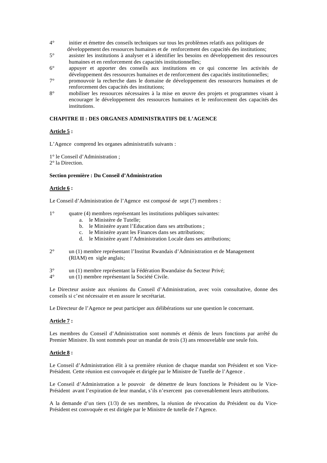- 4° initier et émettre des conseils techniques sur tous les problèmes relatifs aux politiques de développement des ressources humaines et de renforcement des capacités des institutions;
- 5° assister les institutions à analyser et à identifier les besoins en développement des ressources humaines et en renforcement des capacités institutionnelles;
- 6° appuyer et apporter des conseils aux institutions en ce qui concerne les activités de développement des ressources humaines et de renforcement des capacités institutionnelles;
- 7° promouvoir la recherche dans le domaine de développement des ressources humaines et de renforcement des capacités des institutions;
- 8° mobiliser les ressources nécessaires à la mise en œuvre des projets et programmes visant à encourager le développement des ressources humaines et le renforcement des capacités des institutions.

# **CHAPITRE II : DES ORGANES ADMINISTRATIFS DE L'AGENCE**

### **Article 5 :**

L'Agence comprend les organes administratifs suivants :

1° le Conseil d'Administration ;

2° la Direction.

#### **Section première : Du Conseil d'Administration**

#### **Article 6 :**

Le Conseil d'Administration de l'Agence est composé de sept (7) membres :

- 1° quatre (4) membres représentant les institutions publiques suivantes:
	- a. le Ministère de Tutelle;
	- b. le Ministère ayant l'Education dans ses attributions ;
	- c. le Ministère ayant les Finances dans ses attributions;
	- d. le Ministère ayant l'Administration Locale dans ses attributions;
- 2° un (1) membre représentant l'Institut Rwandais d'Administration et de Management (RIAM) en sigle anglais;
- 3° un (1) membre représentant la Fédération Rwandaise du Secteur Privé;
- 4° un (1) membre représentant la Société Civile.

Le Directeur assiste aux réunions du Conseil d'Administration, avec voix consultative, donne des conseils si c'est nécessaire et en assure le secrétariat.

Le Directeur de l'Agence ne peut participer aux délibérations sur une question le concernant.

# **Article 7 :**

Les membres du Conseil d'Administration sont nommés et démis de leurs fonctions par arrêté du Premier Ministre. Ils sont nommés pour un mandat de trois (3) ans renouvelable une seule fois.

### **Article 8 :**

Le Conseil d'Administration élit à sa première réunion de chaque mandat son Président et son Vice-Président. Cette réunion est convoquée et dirigée par le Ministre de Tutelle de l'Agence .

Le Conseil d'Administration a le pouvoir de démettre de leurs fonctions le Président ou le Vice-Président avant l'expiration de leur mandat, s'ils n'exercent pas convenablement leurs attributions.

A la demande d'un tiers (1/3) de ses membres, la réunion de révocation du Président ou du Vice-Président est convoquée et est dirigée par le Ministre de tutelle de l'Agence.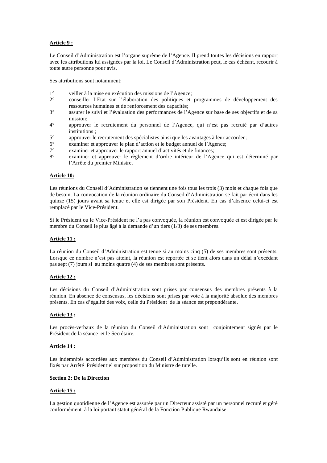# **Article 9 :**

Le Conseil d'Administration est l'organe suprême de l'Agence. Il prend toutes les décisions en rapport avec les attributions lui assignées par la loi. Le Conseil d'Administration peut, le cas échéant, recourir à toute autre personne pour avis.

Ses attributions sont notamment:

- 1° veiller à la mise en exécution des missions de l'Agence;<br>2° conseiller l'Etat sur l'élaboration des nolitiques et
- 2° conseiller l'Etat sur l'élaboration des politiques et programmes de développement des ressources humaines et de renforcement des capacités;
- 3° assurer le suivi et l'évaluation des performances de l'Agence sur base de ses objectifs et de sa mission;
- 4° approuver le recrutement du personnel de l'Agence, qui n'est pas recruté par d'autres institutions ;
- 5° approuver le recrutement des spécialistes ainsi que les avantages à leur accorder ;
- 6° examiner et approuver le plan d'action et le budget annuel de l'Agence;
- 7° examiner et approuver le rapport annuel d'activités et de finances;
- 8° examiner et approuver le règlement d'ordre intérieur de l'Agence qui est déterminé par l'Arrête du premier Ministre.

### **Article 10:**

Les réunions du Conseil d'Administration se tiennent une fois tous les trois (3) mois et chaque fois que de besoin. La convocation de la réunion ordinaire du Conseil d'Administration se fait par écrit dans les quinze (15) jours avant sa tenue et elle est dirigée par son Président. En cas d'absence celui-ci est remplacé par le Vice-Président.

Si le Président ou le Vice-Président ne l'a pas convoquée, la réunion est convoquée et est dirigée par le membre du Conseil le plus âgé à la demande d'un tiers (1/3) de ses membres.

# **Article 11 :**

La réunion du Conseil d'Administration est tenue si au moins cinq (5) de ses membres sont présents. Lorsque ce nombre n'est pas atteint, la réunion est reportée et se tient alors dans un délai n'excédant pas sept (7) jours si au moins quatre (4) de ses membres sont présents.

# **Article 12 :**

Les décisions du Conseil d'Administration sont prises par consensus des membres présents à la réunion. En absence de consensus, les décisions sont prises par vote à la majorité absolue des membres présents. En cas d'égalité des voix, celle du Président de la séance est prépondérante.

# **Article 13 :**

Les procès-verbaux de la réunion du Conseil d'Administration sont conjointement signés par le Président de la séance et le Secrétaire.

# **Article 14 :**

Les indemnités accordées aux membres du Conseil d'Administration lorsqu'ils sont en réunion sont fixés par Arrêté Présidentiel sur proposition du Ministre de tutelle.

### **Section 2: De la Direction**

# **Article 15 :**

La gestion quotidienne de l'Agence est assurée par un Directeur assisté par un personnel recruté et géré conformément à la loi portant statut général de la Fonction Publique Rwandaise.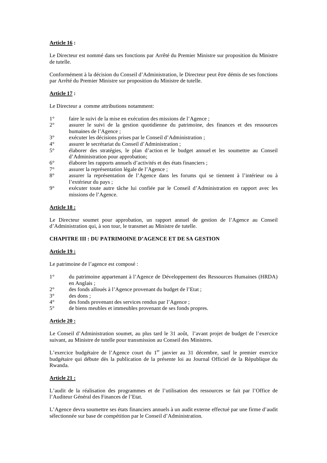# **Article 16 :**

Le Directeur est nommé dans ses fonctions par Arrêté du Premier Ministre sur proposition du Ministre de tutelle.

Conformément à la décision du Conseil d'Administration, le Directeur peut être démis de ses fonctions par Arrêté du Premier Ministre sur proposition du Ministre de tutelle.

# **Article 17 :**

Le Directeur a comme attributions notamment:

- 1° faire le suivi de la mise en exécution des missions de l'Agence ;
- 2° assurer le suivi de la gestion quotidienne du patrimoine, des finances et des ressources humaines de l'Agence ;
- 3° exécuter les décisions prises par le Conseil d'Administration ;
- 4° assurer le secrétariat du Conseil d'Administration ;<br>5° élaborer des stratégies le plan d'action et le bi
- 5° élaborer des stratégies, le plan d'action et le budget annuel et les soumettre au Conseil d'Administration pour approbation;
- $6^\circ$  élaborer les rapports annuels d'activités et des états financiers ;<br>  $7^\circ$  assurer la représentation légale de l'Agence :
- assurer la représentation légale de l'Agence ;
- 8° assurer la représentation de l'Agence dans les forums qui se tiennent à l'intérieur ou à l'extérieur du pays ;
- 9° exécuter toute autre tâche lui confiée par le Conseil d'Administration en rapport avec les missions de l'Agence.

# **Article 18 :**

Le Directeur soumet pour approbation, un rapport annuel de gestion de l'Agence au Conseil d'Administration qui, à son tour, le transmet au Ministre de tutelle.

# **CHAPITRE III : DU PATRIMOINE D'AGENCE ET DE SA GESTION**

# **Article 19 :**

Le patrimoine de l'agence est composé :

- 1° du patrimoine appartenant à l'Agence de Développement des Ressources Humaines (HRDA) en Anglais ;
- 2° des fonds alloués à l'Agence provenant du budget de l'Etat ;<br>3° des dons :
- des dons ;
- 4° des fonds provenant des services rendus par l'Agence ;<br>5° de biens meubles et immeubles provenant de ses fonds
- de biens meubles et immeubles provenant de ses fonds propres.

# **Article 20 :**

Le Conseil d'Administration soumet, au plus tard le 31 août, l'avant projet de budget de l'exercice suivant, au Ministre de tutelle pour transmission au Conseil des Ministres.

L'exercice budgétaire de l'Agence court du  $1<sup>er</sup>$  janvier au 31 décembre, sauf le premier exercice budgétaire qui débute dès la publication de la présente loi au Journal Officiel de la République du Rwanda.

# **Article 21 :**

L'audit de la réalisation des programmes et de l'utilisation des ressources se fait par l'Office de l'Auditeur Général des Finances de l'Etat.

L'Agence devra soumettre ses états financiers annuels à un audit externe effectué par une firme d'audit sélectionnée sur base de compétition par le Conseil d'Administration.